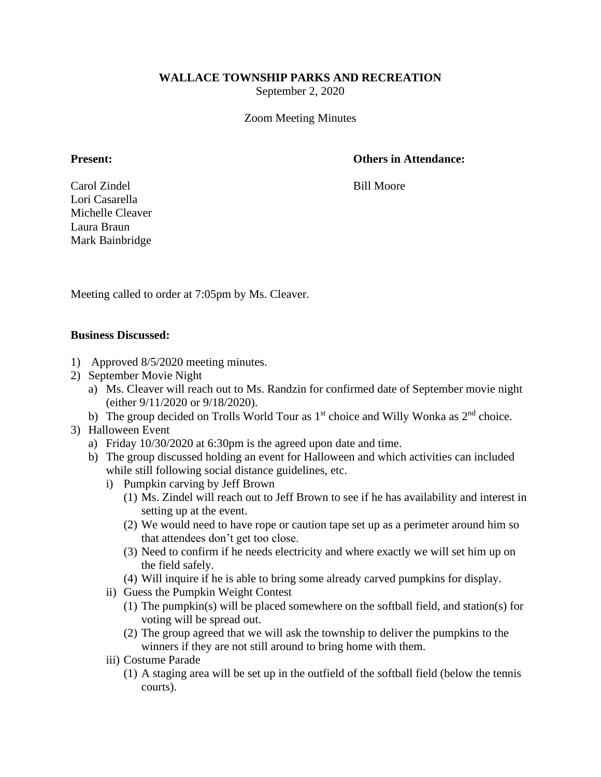## **WALLACE TOWNSHIP PARKS AND RECREATION**

September 2, 2020

Zoom Meeting Minutes

## **Present: Others in Attendance:**

Carol Zindel Bill Moore Lori Casarella Michelle Cleaver Laura Braun Mark Bainbridge

Meeting called to order at 7:05pm by Ms. Cleaver.

## **Business Discussed:**

- 1) Approved 8/5/2020 meeting minutes.
- 2) September Movie Night
	- a) Ms. Cleaver will reach out to Ms. Randzin for confirmed date of September movie night (either 9/11/2020 or 9/18/2020).
	- b) The group decided on Trolls World Tour as  $1<sup>st</sup>$  choice and Willy Wonka as  $2<sup>nd</sup>$  choice.
- 3) Halloween Event
	- a) Friday 10/30/2020 at 6:30pm is the agreed upon date and time.
	- b) The group discussed holding an event for Halloween and which activities can included while still following social distance guidelines, etc.
		- i) Pumpkin carving by Jeff Brown
			- (1) Ms. Zindel will reach out to Jeff Brown to see if he has availability and interest in setting up at the event.
			- (2) We would need to have rope or caution tape set up as a perimeter around him so that attendees don't get too close.
			- (3) Need to confirm if he needs electricity and where exactly we will set him up on the field safely.
			- (4) Will inquire if he is able to bring some already carved pumpkins for display.
		- ii) Guess the Pumpkin Weight Contest
			- (1) The pumpkin(s) will be placed somewhere on the softball field, and station(s) for voting will be spread out.
			- (2) The group agreed that we will ask the township to deliver the pumpkins to the winners if they are not still around to bring home with them.
		- iii) Costume Parade
			- (1) A staging area will be set up in the outfield of the softball field (below the tennis courts).